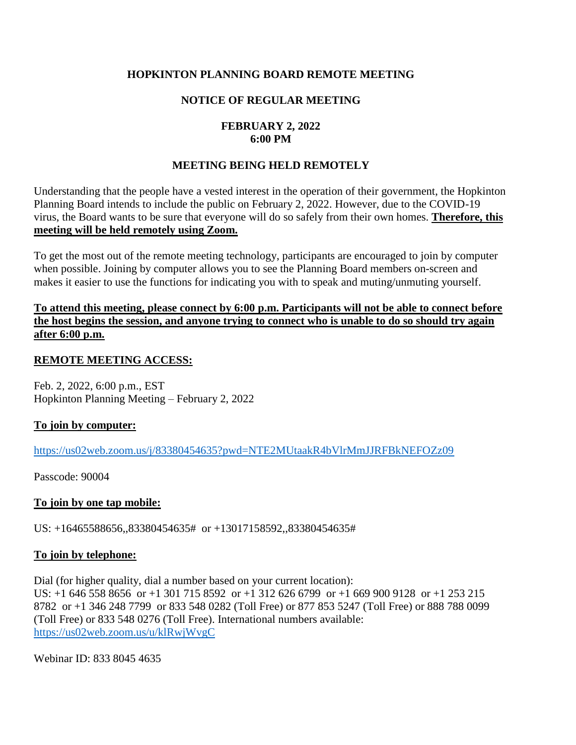# **HOPKINTON PLANNING BOARD REMOTE MEETING**

# **NOTICE OF REGULAR MEETING**

# **FEBRUARY 2, 2022 6:00 PM**

# **MEETING BEING HELD REMOTELY**

Understanding that the people have a vested interest in the operation of their government, the Hopkinton Planning Board intends to include the public on February 2, 2022. However, due to the COVID-19 virus, the Board wants to be sure that everyone will do so safely from their own homes. **Therefore, this meeting will be held remotely using Zoom.** 

To get the most out of the remote meeting technology, participants are encouraged to join by computer when possible. Joining by computer allows you to see the Planning Board members on-screen and makes it easier to use the functions for indicating you with to speak and muting/unmuting yourself.

#### **To attend this meeting, please connect by 6:00 p.m. Participants will not be able to connect before the host begins the session, and anyone trying to connect who is unable to do so should try again after 6:00 p.m.**

# **REMOTE MEETING ACCESS:**

Feb. 2, 2022, 6:00 p.m., EST Hopkinton Planning Meeting – February 2, 2022

# **To join by computer:**

<https://us02web.zoom.us/j/83380454635?pwd=NTE2MUtaakR4bVlrMmJJRFBkNEFOZz09>

Passcode: 90004

#### **To join by one tap mobile:**

US: +16465588656,,83380454635# or +13017158592,,83380454635#

#### **To join by telephone:**

Dial (for higher quality, dial a number based on your current location): US: +1 646 558 8656 or +1 301 715 8592 or +1 312 626 6799 or +1 669 900 9128 or +1 253 215 8782 or +1 346 248 7799 or 833 548 0282 (Toll Free) or 877 853 5247 (Toll Free) or 888 788 0099 (Toll Free) or 833 548 0276 (Toll Free). International numbers available: <https://us02web.zoom.us/u/klRwjWvgC>

Webinar ID: 833 8045 4635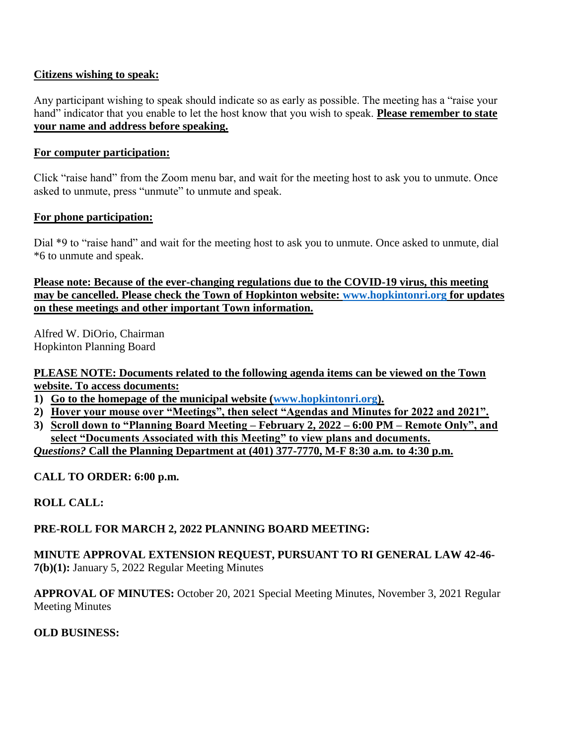### **Citizens wishing to speak:**

Any participant wishing to speak should indicate so as early as possible. The meeting has a "raise your hand" indicator that you enable to let the host know that you wish to speak. **Please remember to state your name and address before speaking.**

### **For computer participation:**

Click "raise hand" from the Zoom menu bar, and wait for the meeting host to ask you to unmute. Once asked to unmute, press "unmute" to unmute and speak.

### **For phone participation:**

Dial \*9 to "raise hand" and wait for the meeting host to ask you to unmute. Once asked to unmute, dial \*6 to unmute and speak.

**Please note: Because of the ever-changing regulations due to the COVID-19 virus, this meeting may be cancelled. Please check the Town of Hopkinton website: [www.hopkintonri.org](http://www.hopkintonri.org/) for updates on these meetings and other important Town information.** 

Alfred W. DiOrio, Chairman Hopkinton Planning Board

**PLEASE NOTE: Documents related to the following agenda items can be viewed on the Town website. To access documents:**

- **1) Go to the homepage of the municipal website [\(www.hopkintonri.org\)](http://www.hopkintonri.org/).**
- **2) Hover your mouse over "Meetings", then select "Agendas and Minutes for 2022 and 2021".**
- **3) Scroll down to "Planning Board Meeting – February 2, 2022 – 6:00 PM – Remote Only", and select "Documents Associated with this Meeting" to view plans and documents.**

*Questions?* **Call the Planning Department at (401) 377-7770, M-F 8:30 a.m. to 4:30 p.m.** 

**CALL TO ORDER: 6:00 p.m.** 

# **ROLL CALL:**

# **PRE-ROLL FOR MARCH 2, 2022 PLANNING BOARD MEETING:**

### **MINUTE APPROVAL EXTENSION REQUEST, PURSUANT TO RI GENERAL LAW 42-46- 7(b)(1):** January 5, 2022 Regular Meeting Minutes

**APPROVAL OF MINUTES:** October 20, 2021 Special Meeting Minutes, November 3, 2021 Regular Meeting Minutes

#### **OLD BUSINESS:**